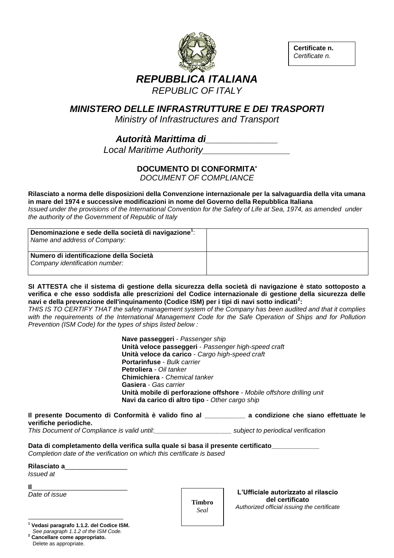

**Certificate n.**  *Certificate n.*

## *MINISTERO DELLE INFRASTRUTTURE E DEI TRASPORTI*

*Ministry of Infrastructures and Transport*

# *Autorità Marittima di\_\_\_\_\_\_\_\_\_\_\_\_\_\_*

*Local Maritime Authority\_\_\_\_\_\_\_\_\_\_\_\_\_\_\_\_\_*

### **DOCUMENTO DI CONFORMITA'**

*DOCUMENT OF COMPLIANCE*

#### **Rilasciato a norma delle disposizioni della Convenzione internazionale per la salvaguardia della vita umana in mare del 1974 e successive modificazioni in nome del Governo della Repubblica Italiana**

*Issued under the provisions of the International Convention for the Safety of Life at Sea, 1974, as amended under the authority of the Government of Republic of Italy*

| Denominazione e sede della società di navigazione <sup>1</sup> :<br>Name and address of Company: |  |
|--------------------------------------------------------------------------------------------------|--|
| Numero di identificazione della Società<br>Company identification number:                        |  |

**SI ATTESTA che il sistema di gestione della sicurezza della società di navigazione è stato sottoposto a verifica e che esso soddisfa alle prescrizioni del Codice internazionale di gestione della sicurezza delle navi e della prevenzione dell'inquinamento (Codice ISM) per i tipi di navi sotto indicati<sup>2</sup> :**

*THIS IS TO CERTIFY THAT the safety management system of the Company has been audited and that it complies*  with the requirements of the International Management Code for the Safe Operation of Ships and for Pollution *Prevention (ISM Code) for the types of ships listed below :*

> **Nave passeggeri** - *Passenger ship* **Unità veloce passeggeri** - *Passenger high-speed craft* **Unità veloce da carico** - *Cargo high-speed craft* **Portarinfuse** - *Bulk carrier* **Petroliera** - *Oil tanker* **Chimichiera** - *Chemical tanker* **Gasiera** - *Gas carrier* **Unità mobile di perforazione offshore** - *Mobile offshore drilling unit* **Navi da carico di altro tipo** - *Other cargo ship*

| Il presente Documento di Conformità è valido fino al _ |  | a condizione che siano effettuate le |  |  |
|--------------------------------------------------------|--|--------------------------------------|--|--|
| verifiche periodiche.                                  |  |                                      |  |  |
| _____                                                  |  |                                      |  |  |

*This Document of Compliance is valid until:\_\_\_\_\_\_\_\_\_\_\_\_\_\_\_\_\_\_\_\_\_ subject to periodical verification*

**Data di completamento della verifica sulla quale si basa il presente certificato\_\_\_\_\_\_\_\_\_\_\_\_\_** *Completion date of the verification on which this certificate is based*

| Rilasciato a |  |
|--------------|--|
|              |  |

*Issued at* 

**Il**\_\_\_\_\_\_\_\_\_\_\_\_\_\_\_\_\_\_\_\_\_\_\_\_\_\_

*Date of issue*

l **<sup>1</sup> Vedasi paragrafo 1.1.2. del Codice ISM.**  *See paragraph 1.1.2 of the ISM Code.*

**<sup>2</sup> Cancellare come appropriato.** Delete as appropriate.

**Timbro** *Seal*

**L'Ufficiale autorizzato al rilascio del certificato** *Authorized official issuing the certificate*